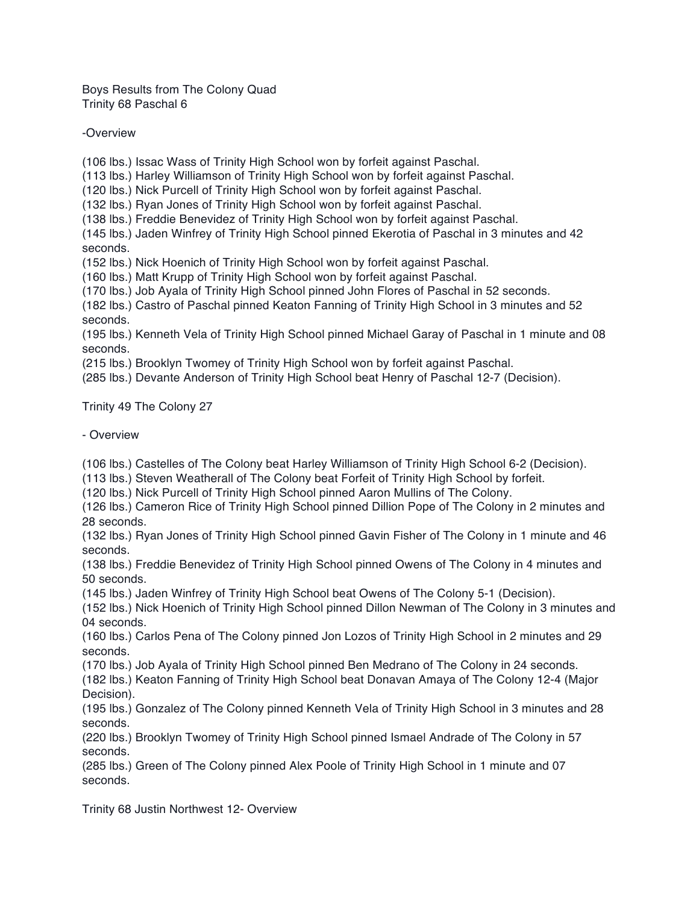Boys Results from The Colony Quad Trinity 68 Paschal 6

-Overview

(106 lbs.) Issac Wass of Trinity High School won by forfeit against Paschal.

(113 lbs.) Harley Williamson of Trinity High School won by forfeit against Paschal.

(120 lbs.) Nick Purcell of Trinity High School won by forfeit against Paschal.

(132 lbs.) Ryan Jones of Trinity High School won by forfeit against Paschal.

(138 lbs.) Freddie Benevidez of Trinity High School won by forfeit against Paschal.

(145 lbs.) Jaden Winfrey of Trinity High School pinned Ekerotia of Paschal in 3 minutes and 42 seconds.

(152 lbs.) Nick Hoenich of Trinity High School won by forfeit against Paschal.

(160 lbs.) Matt Krupp of Trinity High School won by forfeit against Paschal.

(170 lbs.) Job Ayala of Trinity High School pinned John Flores of Paschal in 52 seconds.

(182 lbs.) Castro of Paschal pinned Keaton Fanning of Trinity High School in 3 minutes and 52 seconds.

(195 lbs.) Kenneth Vela of Trinity High School pinned Michael Garay of Paschal in 1 minute and 08 seconds.

(215 lbs.) Brooklyn Twomey of Trinity High School won by forfeit against Paschal.

(285 lbs.) Devante Anderson of Trinity High School beat Henry of Paschal 12-7 (Decision).

Trinity 49 The Colony 27

- Overview

(106 lbs.) Castelles of The Colony beat Harley Williamson of Trinity High School 6-2 (Decision).

(113 lbs.) Steven Weatherall of The Colony beat Forfeit of Trinity High School by forfeit.

(120 lbs.) Nick Purcell of Trinity High School pinned Aaron Mullins of The Colony.

(126 lbs.) Cameron Rice of Trinity High School pinned Dillion Pope of The Colony in 2 minutes and 28 seconds.

(132 lbs.) Ryan Jones of Trinity High School pinned Gavin Fisher of The Colony in 1 minute and 46 seconds.

(138 lbs.) Freddie Benevidez of Trinity High School pinned Owens of The Colony in 4 minutes and 50 seconds.

(145 lbs.) Jaden Winfrey of Trinity High School beat Owens of The Colony 5-1 (Decision).

(152 lbs.) Nick Hoenich of Trinity High School pinned Dillon Newman of The Colony in 3 minutes and 04 seconds.

(160 lbs.) Carlos Pena of The Colony pinned Jon Lozos of Trinity High School in 2 minutes and 29 seconds.

(170 lbs.) Job Ayala of Trinity High School pinned Ben Medrano of The Colony in 24 seconds.

(182 lbs.) Keaton Fanning of Trinity High School beat Donavan Amaya of The Colony 12-4 (Major Decision).

(195 lbs.) Gonzalez of The Colony pinned Kenneth Vela of Trinity High School in 3 minutes and 28 seconds.

(220 lbs.) Brooklyn Twomey of Trinity High School pinned Ismael Andrade of The Colony in 57 seconds.

(285 lbs.) Green of The Colony pinned Alex Poole of Trinity High School in 1 minute and 07 seconds.

Trinity 68 Justin Northwest 12- Overview